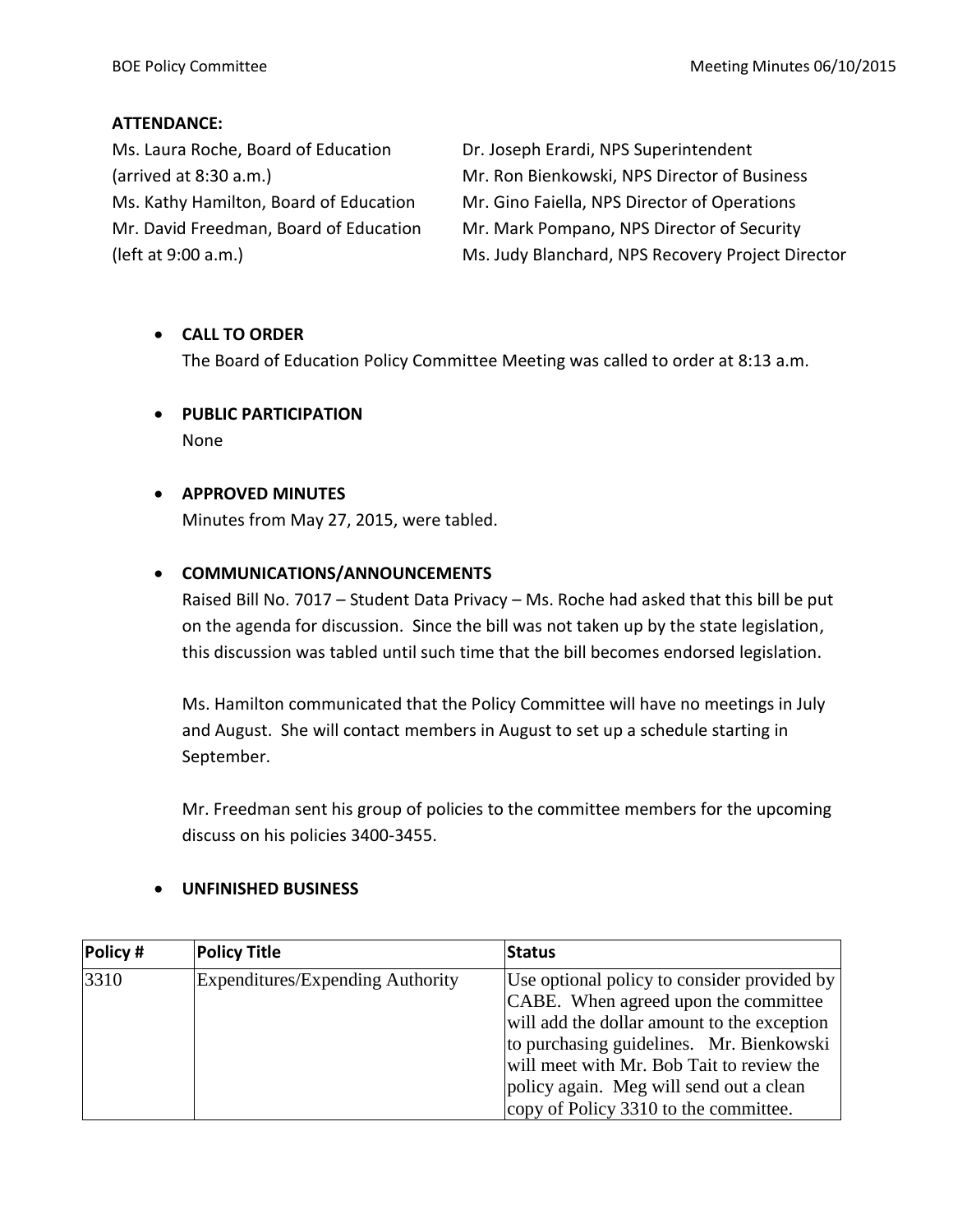#### **ATTENDANCE:**

Ms. Laura Roche, Board of Education Dr. Joseph Erardi, NPS Superintendent

(arrived at 8:30 a.m.) Mr. Ron Bienkowski, NPS Director of Business Ms. Kathy Hamilton, Board of Education Mr. Gino Faiella, NPS Director of Operations Mr. David Freedman, Board of Education Mr. Mark Pompano, NPS Director of Security (left at 9:00 a.m.) Ms. Judy Blanchard, NPS Recovery Project Director

## **CALL TO ORDER**

The Board of Education Policy Committee Meeting was called to order at 8:13 a.m.

 **PUBLIC PARTICIPATION** None

## **APPROVED MINUTES**

Minutes from May 27, 2015, were tabled.

## **COMMUNICATIONS/ANNOUNCEMENTS**

Raised Bill No. 7017 – Student Data Privacy – Ms. Roche had asked that this bill be put on the agenda for discussion. Since the bill was not taken up by the state legislation, this discussion was tabled until such time that the bill becomes endorsed legislation.

Ms. Hamilton communicated that the Policy Committee will have no meetings in July and August. She will contact members in August to set up a schedule starting in September.

Mr. Freedman sent his group of policies to the committee members for the upcoming discuss on his policies 3400-3455.

#### **UNFINISHED BUSINESS**

| Policy # | <b>Policy Title</b>              | <b>Status</b>                                                                                                                                                                                                                                                          |
|----------|----------------------------------|------------------------------------------------------------------------------------------------------------------------------------------------------------------------------------------------------------------------------------------------------------------------|
| 3310     | Expenditures/Expending Authority | Use optional policy to consider provided by<br>CABE. When agreed upon the committee<br>will add the dollar amount to the exception<br>to purchasing guidelines. Mr. Bienkowski<br>will meet with Mr. Bob Tait to review the<br>policy again. Meg will send out a clean |
|          |                                  | copy of Policy 3310 to the committee.                                                                                                                                                                                                                                  |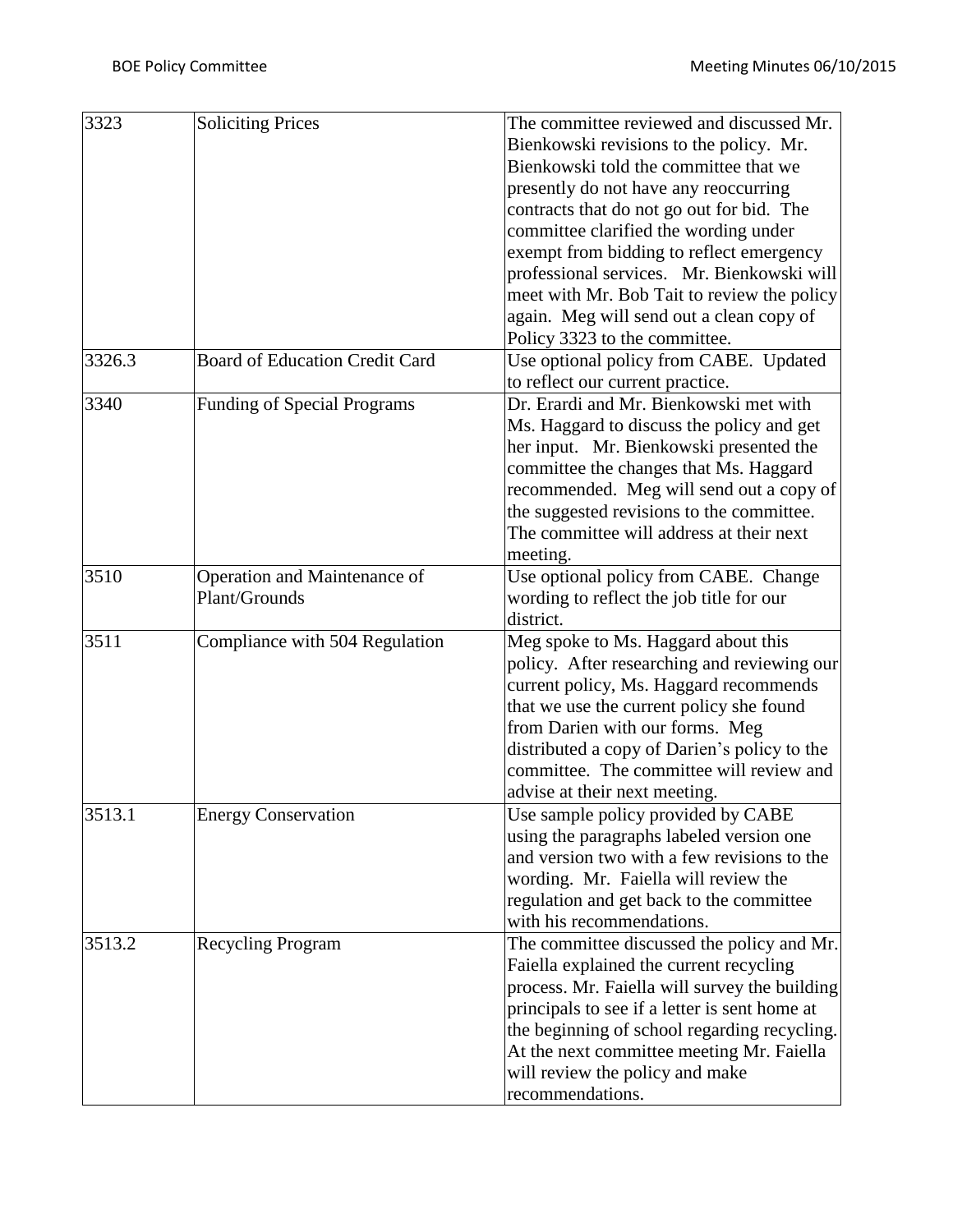| Bienkowski revisions to the policy. Mr.<br>Bienkowski told the committee that we<br>presently do not have any reoccurring<br>contracts that do not go out for bid. The<br>committee clarified the wording under<br>exempt from bidding to reflect emergency<br>professional services. Mr. Bienkowski will<br>meet with Mr. Bob Tait to review the policy<br>again. Meg will send out a clean copy of<br>Policy 3323 to the committee.<br><b>Board of Education Credit Card</b><br>Use optional policy from CABE. Updated<br>to reflect our current practice.<br>Dr. Erardi and Mr. Bienkowski met with<br><b>Funding of Special Programs</b><br>Ms. Haggard to discuss the policy and get<br>her input. Mr. Bienkowski presented the<br>committee the changes that Ms. Haggard<br>recommended. Meg will send out a copy of<br>the suggested revisions to the committee.<br>The committee will address at their next<br>meeting.<br>Operation and Maintenance of<br>Use optional policy from CABE. Change<br>Plant/Grounds<br>wording to reflect the job title for our<br>district.<br>Compliance with 504 Regulation<br>Meg spoke to Ms. Haggard about this<br>policy. After researching and reviewing our<br>current policy, Ms. Haggard recommends<br>that we use the current policy she found<br>from Darien with our forms. Meg<br>distributed a copy of Darien's policy to the<br>committee. The committee will review and<br>advise at their next meeting.<br><b>Energy Conservation</b><br>Use sample policy provided by CABE<br>using the paragraphs labeled version one<br>and version two with a few revisions to the<br>wording. Mr. Faiella will review the<br>regulation and get back to the committee<br>with his recommendations.<br>The committee discussed the policy and Mr.<br><b>Recycling Program</b><br>Faiella explained the current recycling<br>process. Mr. Faiella will survey the building<br>principals to see if a letter is sent home at<br>the beginning of school regarding recycling.<br>At the next committee meeting Mr. Faiella | 3326.3<br>3340<br>3510<br>3511<br>3513.1<br>3513.2<br>will review the policy and make | 3323 | <b>Soliciting Prices</b> | The committee reviewed and discussed Mr. |
|----------------------------------------------------------------------------------------------------------------------------------------------------------------------------------------------------------------------------------------------------------------------------------------------------------------------------------------------------------------------------------------------------------------------------------------------------------------------------------------------------------------------------------------------------------------------------------------------------------------------------------------------------------------------------------------------------------------------------------------------------------------------------------------------------------------------------------------------------------------------------------------------------------------------------------------------------------------------------------------------------------------------------------------------------------------------------------------------------------------------------------------------------------------------------------------------------------------------------------------------------------------------------------------------------------------------------------------------------------------------------------------------------------------------------------------------------------------------------------------------------------------------------------------------------------------------------------------------------------------------------------------------------------------------------------------------------------------------------------------------------------------------------------------------------------------------------------------------------------------------------------------------------------------------------------------------------------------------------------------------------------------------------------------------------------------------|---------------------------------------------------------------------------------------|------|--------------------------|------------------------------------------|
|                                                                                                                                                                                                                                                                                                                                                                                                                                                                                                                                                                                                                                                                                                                                                                                                                                                                                                                                                                                                                                                                                                                                                                                                                                                                                                                                                                                                                                                                                                                                                                                                                                                                                                                                                                                                                                                                                                                                                                                                                                                                      |                                                                                       |      |                          |                                          |
|                                                                                                                                                                                                                                                                                                                                                                                                                                                                                                                                                                                                                                                                                                                                                                                                                                                                                                                                                                                                                                                                                                                                                                                                                                                                                                                                                                                                                                                                                                                                                                                                                                                                                                                                                                                                                                                                                                                                                                                                                                                                      |                                                                                       |      |                          |                                          |
|                                                                                                                                                                                                                                                                                                                                                                                                                                                                                                                                                                                                                                                                                                                                                                                                                                                                                                                                                                                                                                                                                                                                                                                                                                                                                                                                                                                                                                                                                                                                                                                                                                                                                                                                                                                                                                                                                                                                                                                                                                                                      |                                                                                       |      |                          |                                          |
|                                                                                                                                                                                                                                                                                                                                                                                                                                                                                                                                                                                                                                                                                                                                                                                                                                                                                                                                                                                                                                                                                                                                                                                                                                                                                                                                                                                                                                                                                                                                                                                                                                                                                                                                                                                                                                                                                                                                                                                                                                                                      |                                                                                       |      |                          |                                          |
|                                                                                                                                                                                                                                                                                                                                                                                                                                                                                                                                                                                                                                                                                                                                                                                                                                                                                                                                                                                                                                                                                                                                                                                                                                                                                                                                                                                                                                                                                                                                                                                                                                                                                                                                                                                                                                                                                                                                                                                                                                                                      |                                                                                       |      |                          |                                          |
|                                                                                                                                                                                                                                                                                                                                                                                                                                                                                                                                                                                                                                                                                                                                                                                                                                                                                                                                                                                                                                                                                                                                                                                                                                                                                                                                                                                                                                                                                                                                                                                                                                                                                                                                                                                                                                                                                                                                                                                                                                                                      |                                                                                       |      |                          |                                          |
|                                                                                                                                                                                                                                                                                                                                                                                                                                                                                                                                                                                                                                                                                                                                                                                                                                                                                                                                                                                                                                                                                                                                                                                                                                                                                                                                                                                                                                                                                                                                                                                                                                                                                                                                                                                                                                                                                                                                                                                                                                                                      |                                                                                       |      |                          |                                          |
|                                                                                                                                                                                                                                                                                                                                                                                                                                                                                                                                                                                                                                                                                                                                                                                                                                                                                                                                                                                                                                                                                                                                                                                                                                                                                                                                                                                                                                                                                                                                                                                                                                                                                                                                                                                                                                                                                                                                                                                                                                                                      |                                                                                       |      |                          |                                          |
|                                                                                                                                                                                                                                                                                                                                                                                                                                                                                                                                                                                                                                                                                                                                                                                                                                                                                                                                                                                                                                                                                                                                                                                                                                                                                                                                                                                                                                                                                                                                                                                                                                                                                                                                                                                                                                                                                                                                                                                                                                                                      |                                                                                       |      |                          |                                          |
|                                                                                                                                                                                                                                                                                                                                                                                                                                                                                                                                                                                                                                                                                                                                                                                                                                                                                                                                                                                                                                                                                                                                                                                                                                                                                                                                                                                                                                                                                                                                                                                                                                                                                                                                                                                                                                                                                                                                                                                                                                                                      |                                                                                       |      |                          |                                          |
|                                                                                                                                                                                                                                                                                                                                                                                                                                                                                                                                                                                                                                                                                                                                                                                                                                                                                                                                                                                                                                                                                                                                                                                                                                                                                                                                                                                                                                                                                                                                                                                                                                                                                                                                                                                                                                                                                                                                                                                                                                                                      |                                                                                       |      |                          |                                          |
|                                                                                                                                                                                                                                                                                                                                                                                                                                                                                                                                                                                                                                                                                                                                                                                                                                                                                                                                                                                                                                                                                                                                                                                                                                                                                                                                                                                                                                                                                                                                                                                                                                                                                                                                                                                                                                                                                                                                                                                                                                                                      |                                                                                       |      |                          |                                          |
|                                                                                                                                                                                                                                                                                                                                                                                                                                                                                                                                                                                                                                                                                                                                                                                                                                                                                                                                                                                                                                                                                                                                                                                                                                                                                                                                                                                                                                                                                                                                                                                                                                                                                                                                                                                                                                                                                                                                                                                                                                                                      |                                                                                       |      |                          |                                          |
|                                                                                                                                                                                                                                                                                                                                                                                                                                                                                                                                                                                                                                                                                                                                                                                                                                                                                                                                                                                                                                                                                                                                                                                                                                                                                                                                                                                                                                                                                                                                                                                                                                                                                                                                                                                                                                                                                                                                                                                                                                                                      |                                                                                       |      |                          |                                          |
|                                                                                                                                                                                                                                                                                                                                                                                                                                                                                                                                                                                                                                                                                                                                                                                                                                                                                                                                                                                                                                                                                                                                                                                                                                                                                                                                                                                                                                                                                                                                                                                                                                                                                                                                                                                                                                                                                                                                                                                                                                                                      |                                                                                       |      |                          |                                          |
|                                                                                                                                                                                                                                                                                                                                                                                                                                                                                                                                                                                                                                                                                                                                                                                                                                                                                                                                                                                                                                                                                                                                                                                                                                                                                                                                                                                                                                                                                                                                                                                                                                                                                                                                                                                                                                                                                                                                                                                                                                                                      |                                                                                       |      |                          |                                          |
|                                                                                                                                                                                                                                                                                                                                                                                                                                                                                                                                                                                                                                                                                                                                                                                                                                                                                                                                                                                                                                                                                                                                                                                                                                                                                                                                                                                                                                                                                                                                                                                                                                                                                                                                                                                                                                                                                                                                                                                                                                                                      |                                                                                       |      |                          |                                          |
|                                                                                                                                                                                                                                                                                                                                                                                                                                                                                                                                                                                                                                                                                                                                                                                                                                                                                                                                                                                                                                                                                                                                                                                                                                                                                                                                                                                                                                                                                                                                                                                                                                                                                                                                                                                                                                                                                                                                                                                                                                                                      |                                                                                       |      |                          |                                          |
|                                                                                                                                                                                                                                                                                                                                                                                                                                                                                                                                                                                                                                                                                                                                                                                                                                                                                                                                                                                                                                                                                                                                                                                                                                                                                                                                                                                                                                                                                                                                                                                                                                                                                                                                                                                                                                                                                                                                                                                                                                                                      |                                                                                       |      |                          |                                          |
|                                                                                                                                                                                                                                                                                                                                                                                                                                                                                                                                                                                                                                                                                                                                                                                                                                                                                                                                                                                                                                                                                                                                                                                                                                                                                                                                                                                                                                                                                                                                                                                                                                                                                                                                                                                                                                                                                                                                                                                                                                                                      |                                                                                       |      |                          |                                          |
|                                                                                                                                                                                                                                                                                                                                                                                                                                                                                                                                                                                                                                                                                                                                                                                                                                                                                                                                                                                                                                                                                                                                                                                                                                                                                                                                                                                                                                                                                                                                                                                                                                                                                                                                                                                                                                                                                                                                                                                                                                                                      |                                                                                       |      |                          |                                          |
|                                                                                                                                                                                                                                                                                                                                                                                                                                                                                                                                                                                                                                                                                                                                                                                                                                                                                                                                                                                                                                                                                                                                                                                                                                                                                                                                                                                                                                                                                                                                                                                                                                                                                                                                                                                                                                                                                                                                                                                                                                                                      |                                                                                       |      |                          |                                          |
|                                                                                                                                                                                                                                                                                                                                                                                                                                                                                                                                                                                                                                                                                                                                                                                                                                                                                                                                                                                                                                                                                                                                                                                                                                                                                                                                                                                                                                                                                                                                                                                                                                                                                                                                                                                                                                                                                                                                                                                                                                                                      |                                                                                       |      |                          |                                          |
|                                                                                                                                                                                                                                                                                                                                                                                                                                                                                                                                                                                                                                                                                                                                                                                                                                                                                                                                                                                                                                                                                                                                                                                                                                                                                                                                                                                                                                                                                                                                                                                                                                                                                                                                                                                                                                                                                                                                                                                                                                                                      |                                                                                       |      |                          |                                          |
|                                                                                                                                                                                                                                                                                                                                                                                                                                                                                                                                                                                                                                                                                                                                                                                                                                                                                                                                                                                                                                                                                                                                                                                                                                                                                                                                                                                                                                                                                                                                                                                                                                                                                                                                                                                                                                                                                                                                                                                                                                                                      |                                                                                       |      |                          |                                          |
|                                                                                                                                                                                                                                                                                                                                                                                                                                                                                                                                                                                                                                                                                                                                                                                                                                                                                                                                                                                                                                                                                                                                                                                                                                                                                                                                                                                                                                                                                                                                                                                                                                                                                                                                                                                                                                                                                                                                                                                                                                                                      |                                                                                       |      |                          |                                          |
|                                                                                                                                                                                                                                                                                                                                                                                                                                                                                                                                                                                                                                                                                                                                                                                                                                                                                                                                                                                                                                                                                                                                                                                                                                                                                                                                                                                                                                                                                                                                                                                                                                                                                                                                                                                                                                                                                                                                                                                                                                                                      |                                                                                       |      |                          |                                          |
|                                                                                                                                                                                                                                                                                                                                                                                                                                                                                                                                                                                                                                                                                                                                                                                                                                                                                                                                                                                                                                                                                                                                                                                                                                                                                                                                                                                                                                                                                                                                                                                                                                                                                                                                                                                                                                                                                                                                                                                                                                                                      |                                                                                       |      |                          |                                          |
|                                                                                                                                                                                                                                                                                                                                                                                                                                                                                                                                                                                                                                                                                                                                                                                                                                                                                                                                                                                                                                                                                                                                                                                                                                                                                                                                                                                                                                                                                                                                                                                                                                                                                                                                                                                                                                                                                                                                                                                                                                                                      |                                                                                       |      |                          |                                          |
|                                                                                                                                                                                                                                                                                                                                                                                                                                                                                                                                                                                                                                                                                                                                                                                                                                                                                                                                                                                                                                                                                                                                                                                                                                                                                                                                                                                                                                                                                                                                                                                                                                                                                                                                                                                                                                                                                                                                                                                                                                                                      |                                                                                       |      |                          |                                          |
|                                                                                                                                                                                                                                                                                                                                                                                                                                                                                                                                                                                                                                                                                                                                                                                                                                                                                                                                                                                                                                                                                                                                                                                                                                                                                                                                                                                                                                                                                                                                                                                                                                                                                                                                                                                                                                                                                                                                                                                                                                                                      |                                                                                       |      |                          |                                          |
|                                                                                                                                                                                                                                                                                                                                                                                                                                                                                                                                                                                                                                                                                                                                                                                                                                                                                                                                                                                                                                                                                                                                                                                                                                                                                                                                                                                                                                                                                                                                                                                                                                                                                                                                                                                                                                                                                                                                                                                                                                                                      |                                                                                       |      |                          |                                          |
|                                                                                                                                                                                                                                                                                                                                                                                                                                                                                                                                                                                                                                                                                                                                                                                                                                                                                                                                                                                                                                                                                                                                                                                                                                                                                                                                                                                                                                                                                                                                                                                                                                                                                                                                                                                                                                                                                                                                                                                                                                                                      |                                                                                       |      |                          |                                          |
|                                                                                                                                                                                                                                                                                                                                                                                                                                                                                                                                                                                                                                                                                                                                                                                                                                                                                                                                                                                                                                                                                                                                                                                                                                                                                                                                                                                                                                                                                                                                                                                                                                                                                                                                                                                                                                                                                                                                                                                                                                                                      |                                                                                       |      |                          |                                          |
|                                                                                                                                                                                                                                                                                                                                                                                                                                                                                                                                                                                                                                                                                                                                                                                                                                                                                                                                                                                                                                                                                                                                                                                                                                                                                                                                                                                                                                                                                                                                                                                                                                                                                                                                                                                                                                                                                                                                                                                                                                                                      |                                                                                       |      |                          |                                          |
|                                                                                                                                                                                                                                                                                                                                                                                                                                                                                                                                                                                                                                                                                                                                                                                                                                                                                                                                                                                                                                                                                                                                                                                                                                                                                                                                                                                                                                                                                                                                                                                                                                                                                                                                                                                                                                                                                                                                                                                                                                                                      |                                                                                       |      |                          |                                          |
|                                                                                                                                                                                                                                                                                                                                                                                                                                                                                                                                                                                                                                                                                                                                                                                                                                                                                                                                                                                                                                                                                                                                                                                                                                                                                                                                                                                                                                                                                                                                                                                                                                                                                                                                                                                                                                                                                                                                                                                                                                                                      |                                                                                       |      |                          |                                          |
|                                                                                                                                                                                                                                                                                                                                                                                                                                                                                                                                                                                                                                                                                                                                                                                                                                                                                                                                                                                                                                                                                                                                                                                                                                                                                                                                                                                                                                                                                                                                                                                                                                                                                                                                                                                                                                                                                                                                                                                                                                                                      |                                                                                       |      |                          |                                          |
|                                                                                                                                                                                                                                                                                                                                                                                                                                                                                                                                                                                                                                                                                                                                                                                                                                                                                                                                                                                                                                                                                                                                                                                                                                                                                                                                                                                                                                                                                                                                                                                                                                                                                                                                                                                                                                                                                                                                                                                                                                                                      |                                                                                       |      |                          |                                          |
|                                                                                                                                                                                                                                                                                                                                                                                                                                                                                                                                                                                                                                                                                                                                                                                                                                                                                                                                                                                                                                                                                                                                                                                                                                                                                                                                                                                                                                                                                                                                                                                                                                                                                                                                                                                                                                                                                                                                                                                                                                                                      |                                                                                       |      |                          |                                          |
|                                                                                                                                                                                                                                                                                                                                                                                                                                                                                                                                                                                                                                                                                                                                                                                                                                                                                                                                                                                                                                                                                                                                                                                                                                                                                                                                                                                                                                                                                                                                                                                                                                                                                                                                                                                                                                                                                                                                                                                                                                                                      |                                                                                       |      |                          |                                          |
|                                                                                                                                                                                                                                                                                                                                                                                                                                                                                                                                                                                                                                                                                                                                                                                                                                                                                                                                                                                                                                                                                                                                                                                                                                                                                                                                                                                                                                                                                                                                                                                                                                                                                                                                                                                                                                                                                                                                                                                                                                                                      |                                                                                       |      |                          |                                          |
|                                                                                                                                                                                                                                                                                                                                                                                                                                                                                                                                                                                                                                                                                                                                                                                                                                                                                                                                                                                                                                                                                                                                                                                                                                                                                                                                                                                                                                                                                                                                                                                                                                                                                                                                                                                                                                                                                                                                                                                                                                                                      |                                                                                       |      |                          |                                          |
|                                                                                                                                                                                                                                                                                                                                                                                                                                                                                                                                                                                                                                                                                                                                                                                                                                                                                                                                                                                                                                                                                                                                                                                                                                                                                                                                                                                                                                                                                                                                                                                                                                                                                                                                                                                                                                                                                                                                                                                                                                                                      |                                                                                       |      |                          |                                          |
|                                                                                                                                                                                                                                                                                                                                                                                                                                                                                                                                                                                                                                                                                                                                                                                                                                                                                                                                                                                                                                                                                                                                                                                                                                                                                                                                                                                                                                                                                                                                                                                                                                                                                                                                                                                                                                                                                                                                                                                                                                                                      |                                                                                       |      |                          |                                          |
|                                                                                                                                                                                                                                                                                                                                                                                                                                                                                                                                                                                                                                                                                                                                                                                                                                                                                                                                                                                                                                                                                                                                                                                                                                                                                                                                                                                                                                                                                                                                                                                                                                                                                                                                                                                                                                                                                                                                                                                                                                                                      |                                                                                       |      |                          | recommendations.                         |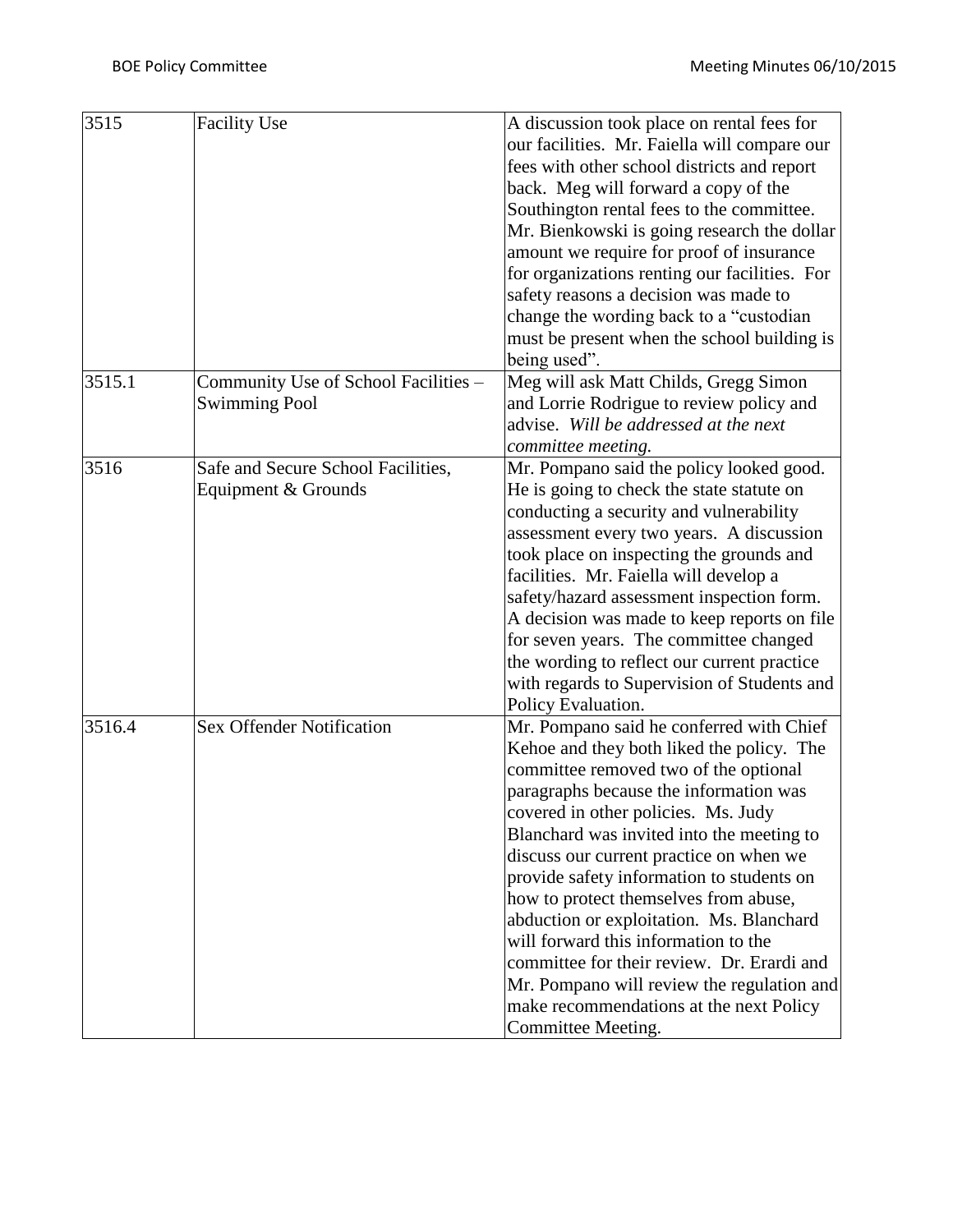| 3515   | <b>Facility Use</b>                                          | A discussion took place on rental fees for<br>our facilities. Mr. Faiella will compare our<br>fees with other school districts and report<br>back. Meg will forward a copy of the<br>Southington rental fees to the committee.<br>Mr. Bienkowski is going research the dollar<br>amount we require for proof of insurance<br>for organizations renting our facilities. For<br>safety reasons a decision was made to                                                                                                                                                                                                                            |
|--------|--------------------------------------------------------------|------------------------------------------------------------------------------------------------------------------------------------------------------------------------------------------------------------------------------------------------------------------------------------------------------------------------------------------------------------------------------------------------------------------------------------------------------------------------------------------------------------------------------------------------------------------------------------------------------------------------------------------------|
|        |                                                              | change the wording back to a "custodian"<br>must be present when the school building is<br>being used".                                                                                                                                                                                                                                                                                                                                                                                                                                                                                                                                        |
| 3515.1 | Community Use of School Facilities -<br><b>Swimming Pool</b> | Meg will ask Matt Childs, Gregg Simon<br>and Lorrie Rodrigue to review policy and<br>advise. Will be addressed at the next<br>committee meeting.                                                                                                                                                                                                                                                                                                                                                                                                                                                                                               |
| 3516   | Safe and Secure School Facilities,<br>Equipment & Grounds    | Mr. Pompano said the policy looked good.<br>He is going to check the state statute on<br>conducting a security and vulnerability<br>assessment every two years. A discussion<br>took place on inspecting the grounds and<br>facilities. Mr. Faiella will develop a<br>safety/hazard assessment inspection form.<br>A decision was made to keep reports on file<br>for seven years. The committee changed<br>the wording to reflect our current practice<br>with regards to Supervision of Students and<br>Policy Evaluation.                                                                                                                   |
| 3516.4 | <b>Sex Offender Notification</b>                             | Mr. Pompano said he conferred with Chief<br>Kehoe and they both liked the policy. The<br>committee removed two of the optional<br>paragraphs because the information was<br>covered in other policies. Ms. Judy<br>Blanchard was invited into the meeting to<br>discuss our current practice on when we<br>provide safety information to students on<br>how to protect themselves from abuse,<br>abduction or exploitation. Ms. Blanchard<br>will forward this information to the<br>committee for their review. Dr. Erardi and<br>Mr. Pompano will review the regulation and<br>make recommendations at the next Policy<br>Committee Meeting. |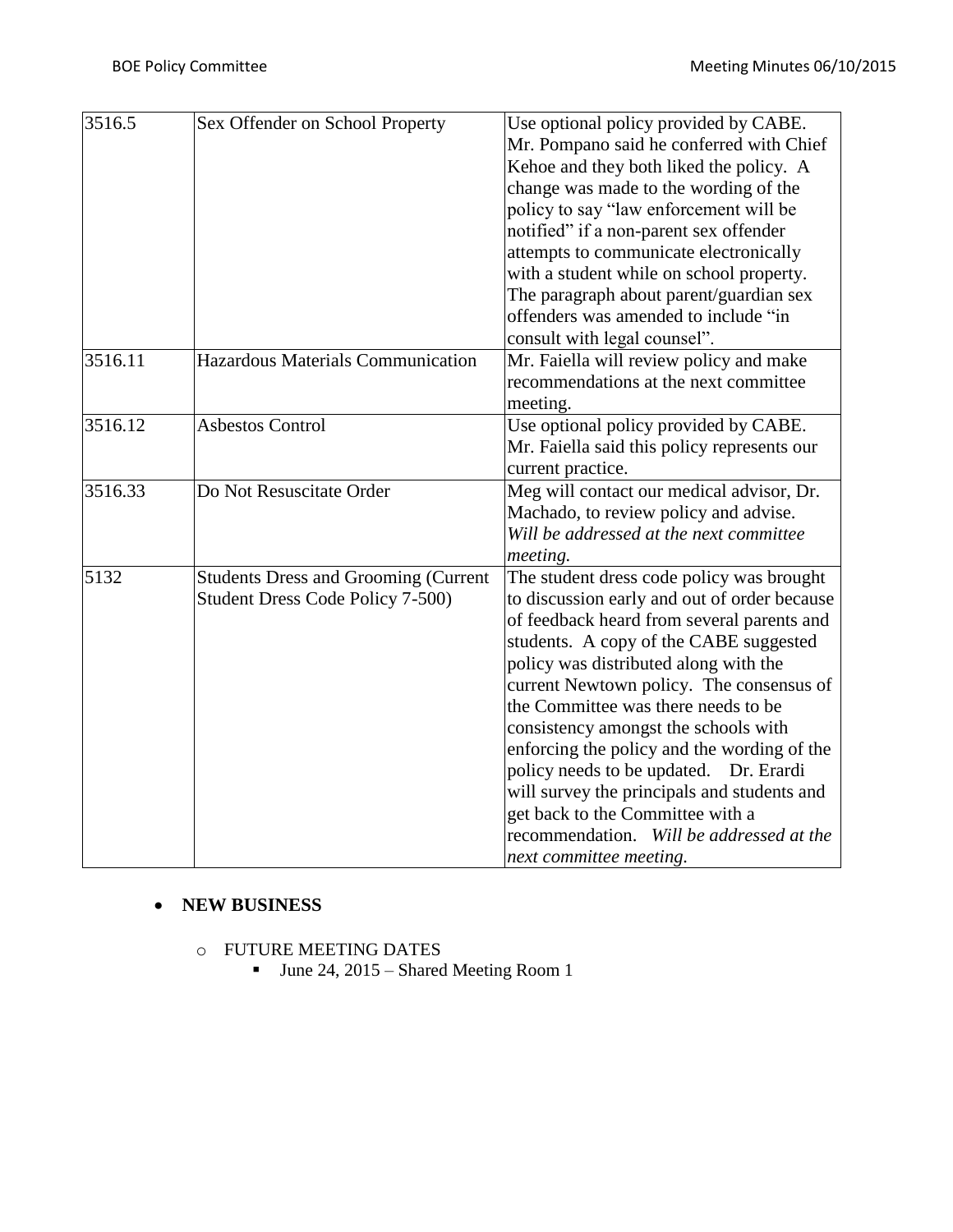| 3516.5  | Sex Offender on School Property                                                 | Use optional policy provided by CABE.<br>Mr. Pompano said he conferred with Chief<br>Kehoe and they both liked the policy. A<br>change was made to the wording of the<br>policy to say "law enforcement will be<br>notified" if a non-parent sex offender<br>attempts to communicate electronically<br>with a student while on school property.<br>The paragraph about parent/guardian sex<br>offenders was amended to include "in<br>consult with legal counsel".                                                                                                                                       |  |
|---------|---------------------------------------------------------------------------------|----------------------------------------------------------------------------------------------------------------------------------------------------------------------------------------------------------------------------------------------------------------------------------------------------------------------------------------------------------------------------------------------------------------------------------------------------------------------------------------------------------------------------------------------------------------------------------------------------------|--|
| 3516.11 | Hazardous Materials Communication                                               | Mr. Faiella will review policy and make<br>recommendations at the next committee<br>meeting.                                                                                                                                                                                                                                                                                                                                                                                                                                                                                                             |  |
| 3516.12 | <b>Asbestos Control</b>                                                         | Use optional policy provided by CABE.<br>Mr. Faiella said this policy represents our<br>current practice.                                                                                                                                                                                                                                                                                                                                                                                                                                                                                                |  |
| 3516.33 | Do Not Resuscitate Order                                                        | Meg will contact our medical advisor, Dr.<br>Machado, to review policy and advise.<br>Will be addressed at the next committee<br>meeting.                                                                                                                                                                                                                                                                                                                                                                                                                                                                |  |
| 5132    | <b>Students Dress and Grooming (Current</b><br>Student Dress Code Policy 7-500) | The student dress code policy was brought<br>to discussion early and out of order because<br>of feedback heard from several parents and<br>students. A copy of the CABE suggested<br>policy was distributed along with the<br>current Newtown policy. The consensus of<br>the Committee was there needs to be<br>consistency amongst the schools with<br>enforcing the policy and the wording of the<br>policy needs to be updated. Dr. Erardi<br>will survey the principals and students and<br>get back to the Committee with a<br>recommendation. Will be addressed at the<br>next committee meeting. |  |

#### **NEW BUSINESS**

- o FUTURE MEETING DATES
	- June 24, 2015 Shared Meeting Room 1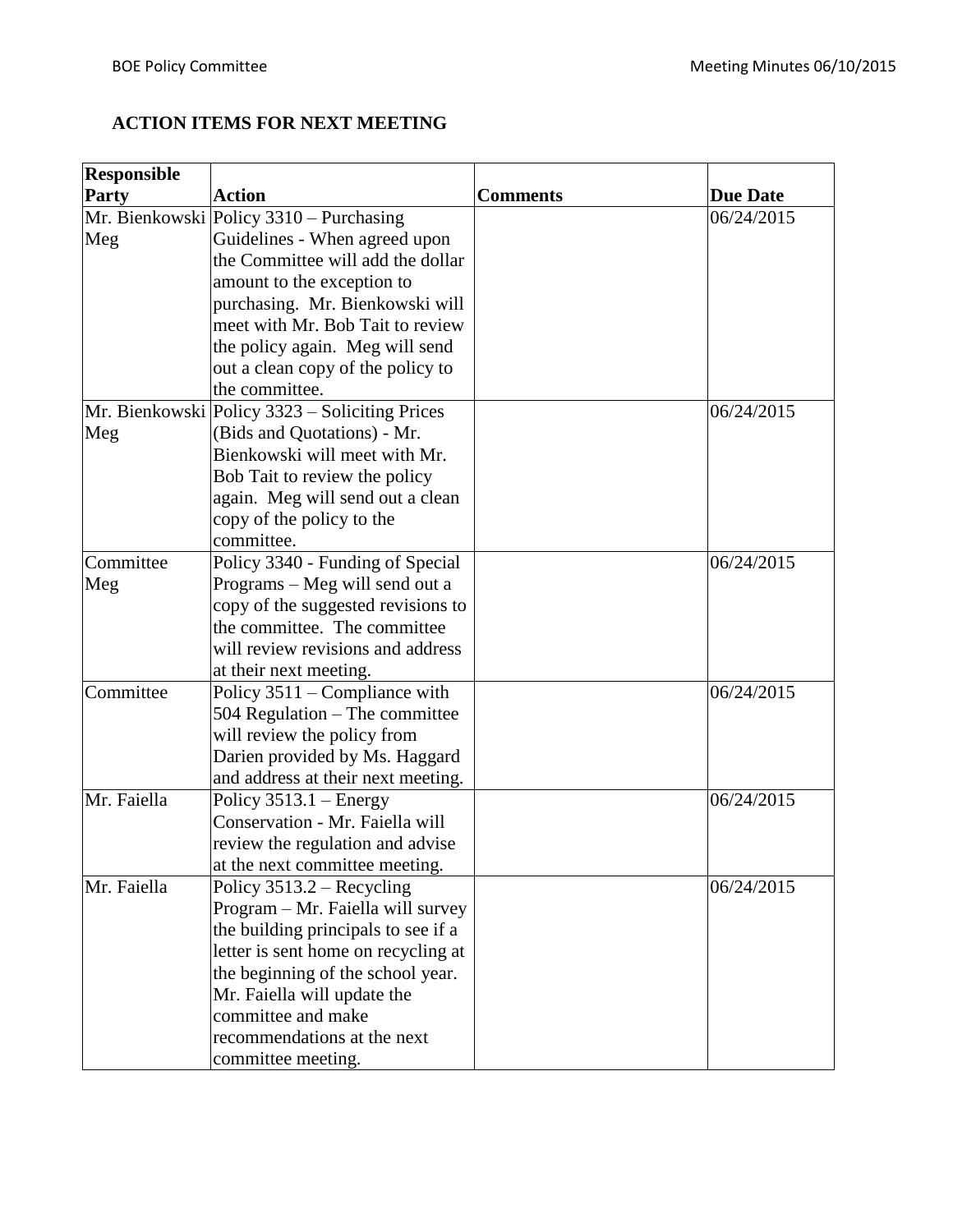# **ACTION ITEMS FOR NEXT MEETING**

| <b>Responsible</b> |                                                |                 |                 |
|--------------------|------------------------------------------------|-----------------|-----------------|
| Party              | <b>Action</b>                                  | <b>Comments</b> | <b>Due Date</b> |
|                    | Mr. Bienkowski Policy 3310 - Purchasing        |                 | 06/24/2015      |
| Meg                | Guidelines - When agreed upon                  |                 |                 |
|                    | the Committee will add the dollar              |                 |                 |
|                    | amount to the exception to                     |                 |                 |
|                    | purchasing. Mr. Bienkowski will                |                 |                 |
|                    | meet with Mr. Bob Tait to review               |                 |                 |
|                    | the policy again. Meg will send                |                 |                 |
|                    | out a clean copy of the policy to              |                 |                 |
|                    | the committee.                                 |                 |                 |
|                    | Mr. Bienkowski Policy 3323 – Soliciting Prices |                 | 06/24/2015      |
| Meg                | (Bids and Quotations) - Mr.                    |                 |                 |
|                    | Bienkowski will meet with Mr.                  |                 |                 |
|                    | Bob Tait to review the policy                  |                 |                 |
|                    | again. Meg will send out a clean               |                 |                 |
|                    | copy of the policy to the                      |                 |                 |
|                    | committee.                                     |                 |                 |
| Committee          | Policy 3340 - Funding of Special               |                 | 06/24/2015      |
| Meg                | Programs – Meg will send out a                 |                 |                 |
|                    | copy of the suggested revisions to             |                 |                 |
|                    | the committee. The committee                   |                 |                 |
|                    | will review revisions and address              |                 |                 |
|                    | at their next meeting.                         |                 |                 |
| Committee          | Policy 3511 – Compliance with                  |                 | 06/24/2015      |
|                    | 504 Regulation – The committee                 |                 |                 |
|                    | will review the policy from                    |                 |                 |
|                    | Darien provided by Ms. Haggard                 |                 |                 |
|                    | and address at their next meeting.             |                 |                 |
| Mr. Faiella        | Policy $3513.1$ – Energy                       |                 | 06/24/2015      |
|                    | Conservation - Mr. Faiella will                |                 |                 |
|                    | review the regulation and advise               |                 |                 |
|                    | at the next committee meeting.                 |                 |                 |
| Mr. Faiella        | Policy 3513.2 – Recycling                      |                 | 06/24/2015      |
|                    | Program - Mr. Faiella will survey              |                 |                 |
|                    | the building principals to see if a            |                 |                 |
|                    | letter is sent home on recycling at            |                 |                 |
|                    | the beginning of the school year.              |                 |                 |
|                    | Mr. Faiella will update the                    |                 |                 |
|                    | committee and make                             |                 |                 |
|                    | recommendations at the next                    |                 |                 |
|                    | committee meeting.                             |                 |                 |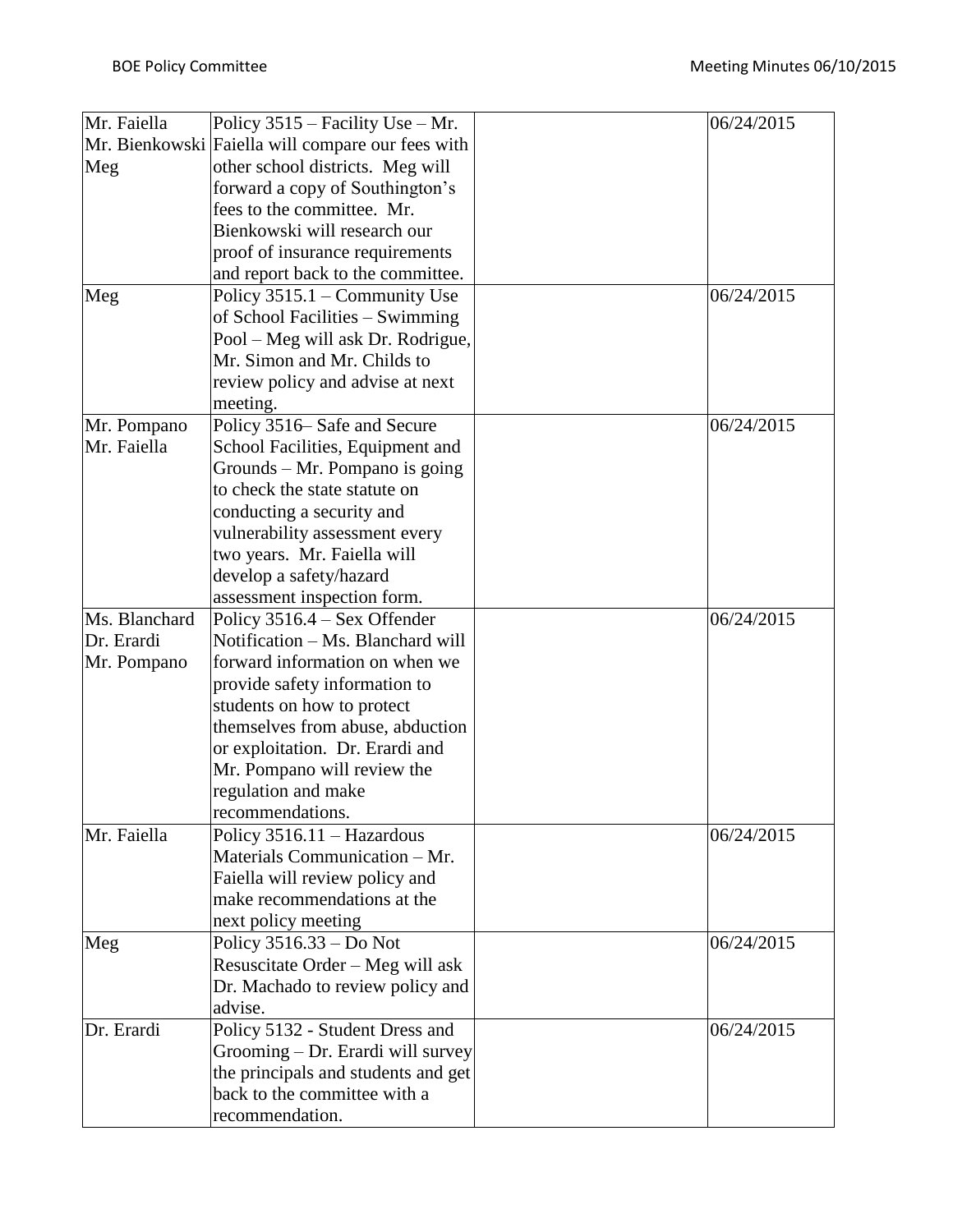| Mr. Faiella   | Policy 3515 – Facility Use – Mr.                  | 06/24/2015 |
|---------------|---------------------------------------------------|------------|
|               | Mr. Bienkowski Faiella will compare our fees with |            |
| Meg           | other school districts. Meg will                  |            |
|               | forward a copy of Southington's                   |            |
|               | fees to the committee. Mr.                        |            |
|               | Bienkowski will research our                      |            |
|               | proof of insurance requirements                   |            |
|               | and report back to the committee.                 |            |
| Meg           | Policy 3515.1 – Community Use                     | 06/24/2015 |
|               | of School Facilities – Swimming                   |            |
|               | Pool – Meg will ask Dr. Rodrigue,                 |            |
|               | Mr. Simon and Mr. Childs to                       |            |
|               | review policy and advise at next                  |            |
|               | meeting.                                          |            |
| Mr. Pompano   | Policy 3516– Safe and Secure                      | 06/24/2015 |
| Mr. Faiella   | School Facilities, Equipment and                  |            |
|               | Grounds $-$ Mr. Pompano is going                  |            |
|               | to check the state statute on                     |            |
|               | conducting a security and                         |            |
|               | vulnerability assessment every                    |            |
|               | two years. Mr. Faiella will                       |            |
|               | develop a safety/hazard                           |            |
|               | assessment inspection form.                       |            |
| Ms. Blanchard | Policy 3516.4 – Sex Offender                      | 06/24/2015 |
| Dr. Erardi    | Notification - Ms. Blanchard will                 |            |
| Mr. Pompano   | forward information on when we                    |            |
|               | provide safety information to                     |            |
|               | students on how to protect                        |            |
|               | themselves from abuse, abduction                  |            |
|               | or exploitation. Dr. Erardi and                   |            |
|               | Mr. Pompano will review the                       |            |
|               | regulation and make                               |            |
|               | recommendations.                                  |            |
| Mr. Faiella   | Policy 3516.11 - Hazardous                        | 06/24/2015 |
|               | Materials Communication - Mr.                     |            |
|               | Faiella will review policy and                    |            |
|               | make recommendations at the                       |            |
|               | next policy meeting                               |            |
| Meg           | Policy $3516.33 - Do$ Not                         | 06/24/2015 |
|               | Resuscitate Order - Meg will ask                  |            |
|               | Dr. Machado to review policy and                  |            |
|               | advise.                                           |            |
| Dr. Erardi    | Policy 5132 - Student Dress and                   | 06/24/2015 |
|               | Grooming – Dr. Erardi will survey                 |            |
|               | the principals and students and get               |            |
|               | back to the committee with a                      |            |
|               | recommendation.                                   |            |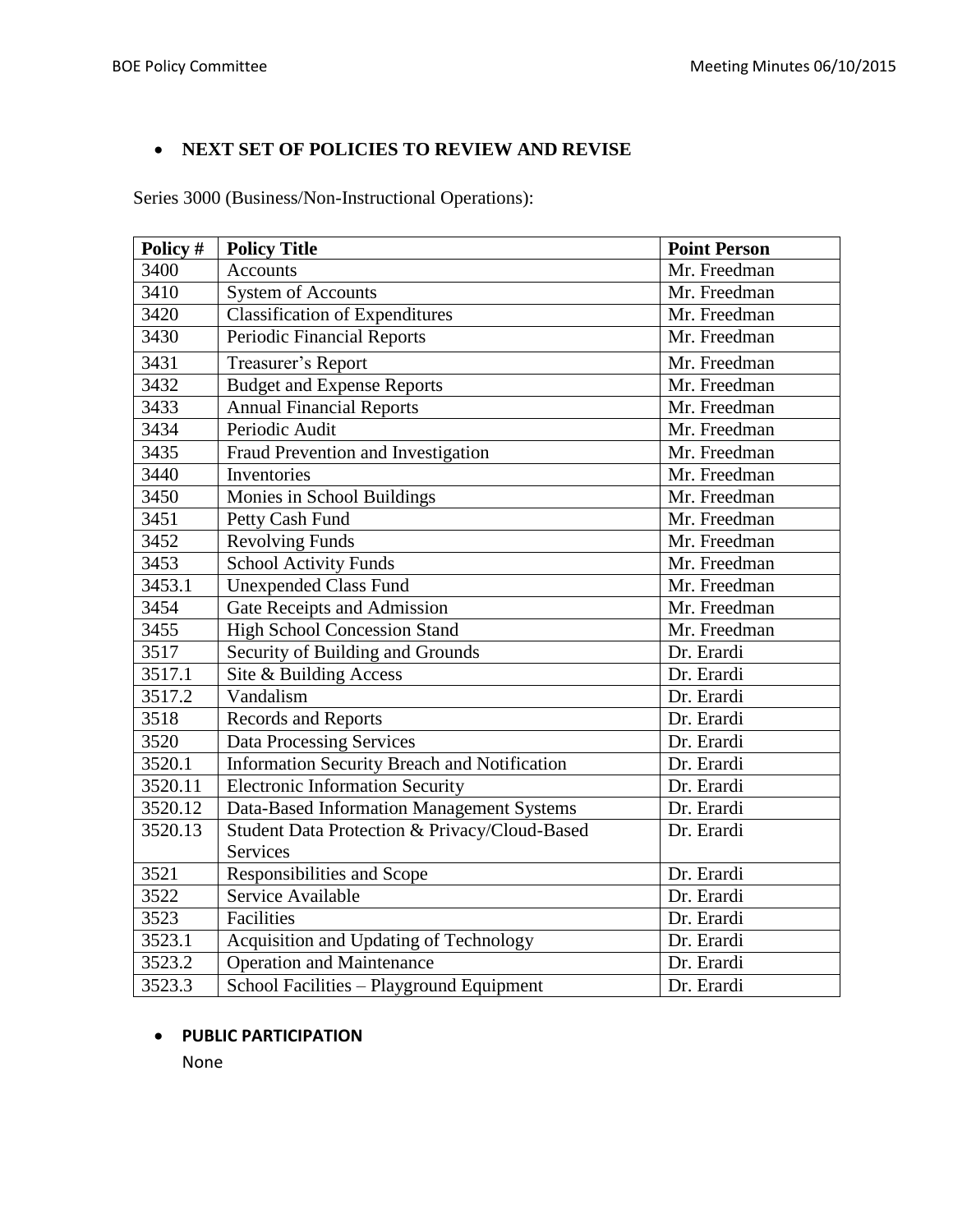## **NEXT SET OF POLICIES TO REVIEW AND REVISE**

Series 3000 (Business/Non-Instructional Operations):

| Policy # | <b>Policy Title</b>                           | <b>Point Person</b> |
|----------|-----------------------------------------------|---------------------|
| 3400     | <b>Accounts</b>                               | Mr. Freedman        |
| 3410     | <b>System of Accounts</b>                     | Mr. Freedman        |
| 3420     | <b>Classification of Expenditures</b>         | Mr. Freedman        |
| 3430     | Periodic Financial Reports                    | Mr. Freedman        |
| 3431     | Treasurer's Report                            | Mr. Freedman        |
| 3432     | <b>Budget and Expense Reports</b>             | Mr. Freedman        |
| 3433     | <b>Annual Financial Reports</b>               | Mr. Freedman        |
| 3434     | Periodic Audit                                | Mr. Freedman        |
| 3435     | Fraud Prevention and Investigation            | Mr. Freedman        |
| 3440     | Inventories                                   | Mr. Freedman        |
| 3450     | Monies in School Buildings                    | Mr. Freedman        |
| 3451     | Petty Cash Fund                               | Mr. Freedman        |
| 3452     | <b>Revolving Funds</b>                        | Mr. Freedman        |
| 3453     | <b>School Activity Funds</b>                  | Mr. Freedman        |
| 3453.1   | <b>Unexpended Class Fund</b>                  | Mr. Freedman        |
| 3454     | Gate Receipts and Admission                   | Mr. Freedman        |
| 3455     | <b>High School Concession Stand</b>           | Mr. Freedman        |
| 3517     | Security of Building and Grounds              | Dr. Erardi          |
| 3517.1   | Site & Building Access                        | Dr. Erardi          |
| 3517.2   | Vandalism                                     | Dr. Erardi          |
| 3518     | Records and Reports                           | Dr. Erardi          |
| 3520     | <b>Data Processing Services</b>               | Dr. Erardi          |
| 3520.1   | Information Security Breach and Notification  | Dr. Erardi          |
| 3520.11  | <b>Electronic Information Security</b>        | Dr. Erardi          |
| 3520.12  | Data-Based Information Management Systems     | Dr. Erardi          |
| 3520.13  | Student Data Protection & Privacy/Cloud-Based | Dr. Erardi          |
|          | <b>Services</b>                               |                     |
| 3521     | Responsibilities and Scope                    | Dr. Erardi          |
| 3522     | Service Available                             | Dr. Erardi          |
| 3523     | <b>Facilities</b>                             | Dr. Erardi          |
| 3523.1   | Acquisition and Updating of Technology        | Dr. Erardi          |
| 3523.2   | <b>Operation and Maintenance</b>              | Dr. Erardi          |
| 3523.3   | School Facilities - Playground Equipment      | Dr. Erardi          |

#### **PUBLIC PARTICIPATION**

None